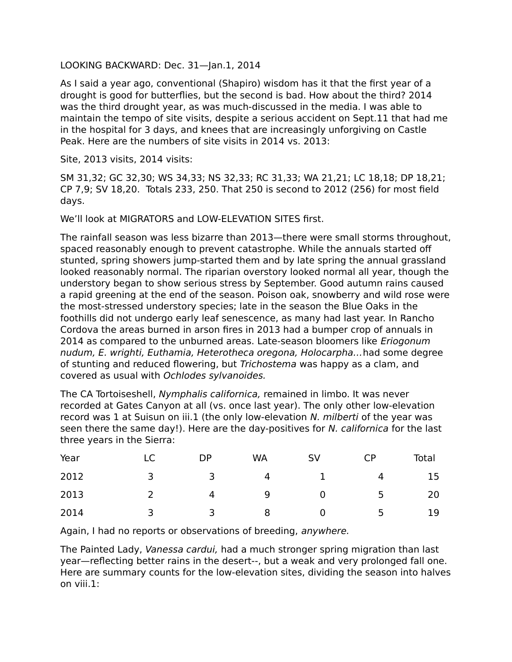## LOOKING BACKWARD: Dec. 31—Jan.1, 2014

As I said a year ago, conventional (Shapiro) wisdom has it that the first year of a drought is good for butterflies, but the second is bad. How about the third? 2014 was the third drought year, as was much-discussed in the media. I was able to maintain the tempo of site visits, despite a serious accident on Sept.11 that had me in the hospital for 3 days, and knees that are increasingly unforgiving on Castle Peak. Here are the numbers of site visits in 2014 vs. 2013:

Site, 2013 visits, 2014 visits:

SM 31,32; GC 32,30; WS 34,33; NS 32,33; RC 31,33; WA 21,21; LC 18,18; DP 18,21; CP 7,9; SV 18,20. Totals 233, 250. That 250 is second to 2012 (256) for most field days.

We'll look at MIGRATORS and LOW-ELEVATION SITES first.

The rainfall season was less bizarre than 2013—there were small storms throughout, spaced reasonably enough to prevent catastrophe. While the annuals started off stunted, spring showers jump-started them and by late spring the annual grassland looked reasonably normal. The riparian overstory looked normal all year, though the understory began to show serious stress by September. Good autumn rains caused a rapid greening at the end of the season. Poison oak, snowberry and wild rose were the most-stressed understory species; late in the season the Blue Oaks in the foothills did not undergo early leaf senescence, as many had last year. In Rancho Cordova the areas burned in arson fires in 2013 had a bumper crop of annuals in 2014 as compared to the unburned areas. Late-season bloomers like *Eriogonum* nudum, E. wrighti, Euthamia, Heterotheca oregona, Holocarpha…had some degree of stunting and reduced flowering, but Trichostema was happy as a clam, and covered as usual with Ochlodes sylvanoides.

The CA Tortoiseshell, Nymphalis californica, remained in limbo. It was never recorded at Gates Canyon at all (vs. once last year). The only other low-elevation record was 1 at Suisun on iii.1 (the only low-elevation N. milberti of the year was seen there the same day!). Here are the day-positives for N. californica for the last three years in the Sierra:

| Year |     | DP                      | <b>WA</b>      | <b>SV</b>      | СP                     | Total |
|------|-----|-------------------------|----------------|----------------|------------------------|-------|
| 2012 | 3   | $\overline{\mathbf{3}}$ | $\overline{4}$ |                | $1 \qquad \qquad$<br>4 | 15    |
| 2013 |     | 4                       | 9              | $\overline{0}$ | 5                      | 20    |
| 2014 | - 3 | $\overline{\mathbf{3}}$ | 8              | $\overline{0}$ | 5                      | 19    |

Again, I had no reports or observations of breeding, anywhere.

The Painted Lady, Vanessa cardui, had a much stronger spring migration than last year—reflecting better rains in the desert--, but a weak and very prolonged fall one. Here are summary counts for the low-elevation sites, dividing the season into halves on viii.1: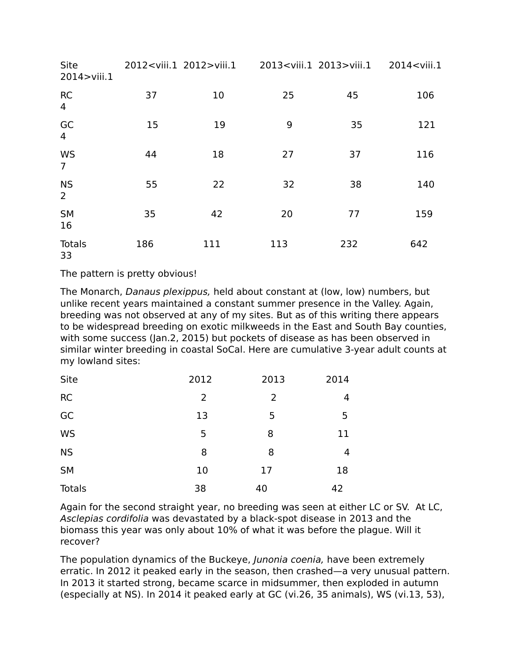| Site<br>2014>viii.1         | 2012 <viii.1 2012="">viii.1</viii.1> |     | 2013 <viii.1 2013="">viii.1</viii.1> |     | 2014 <viii.1< th=""></viii.1<> |
|-----------------------------|--------------------------------------|-----|--------------------------------------|-----|--------------------------------|
| <b>RC</b><br>$\overline{4}$ | 37                                   | 10  | 25                                   | 45  | 106                            |
| GC<br>$\overline{4}$        | 15                                   | 19  | 9                                    | 35  | 121                            |
| WS<br>$\overline{7}$        | 44                                   | 18  | 27                                   | 37  | 116                            |
| <b>NS</b><br>$\overline{2}$ | 55                                   | 22  | 32                                   | 38  | 140                            |
| <b>SM</b><br>16             | 35                                   | 42  | 20                                   | 77  | 159                            |
| Totals<br>33                | 186                                  | 111 | 113                                  | 232 | 642                            |

The pattern is pretty obvious!

The Monarch, Danaus plexippus, held about constant at (low, low) numbers, but unlike recent years maintained a constant summer presence in the Valley. Again, breeding was not observed at any of my sites. But as of this writing there appears to be widespread breeding on exotic milkweeds in the East and South Bay counties, with some success (Jan.2, 2015) but pockets of disease as has been observed in similar winter breeding in coastal SoCal. Here are cumulative 3-year adult counts at my lowland sites:

| Site          | 2012 | 2013           | 2014 |
|---------------|------|----------------|------|
| <b>RC</b>     | 2    | $\overline{2}$ | 4    |
| GC            | 13   | 5              | 5    |
| <b>WS</b>     | 5    | 8              | 11   |
| <b>NS</b>     | 8    | 8              | 4    |
| <b>SM</b>     | 10   | 17             | 18   |
| <b>Totals</b> | 38   | 40             | 42   |

Again for the second straight year, no breeding was seen at either LC or SV. At LC, Asclepias cordifolia was devastated by a black-spot disease in 2013 and the biomass this year was only about 10% of what it was before the plague. Will it recover?

The population dynamics of the Buckeye, Junonia coenia, have been extremely erratic. In 2012 it peaked early in the season, then crashed—a very unusual pattern. In 2013 it started strong, became scarce in midsummer, then exploded in autumn (especially at NS). In 2014 it peaked early at GC (vi.26, 35 animals), WS (vi.13, 53),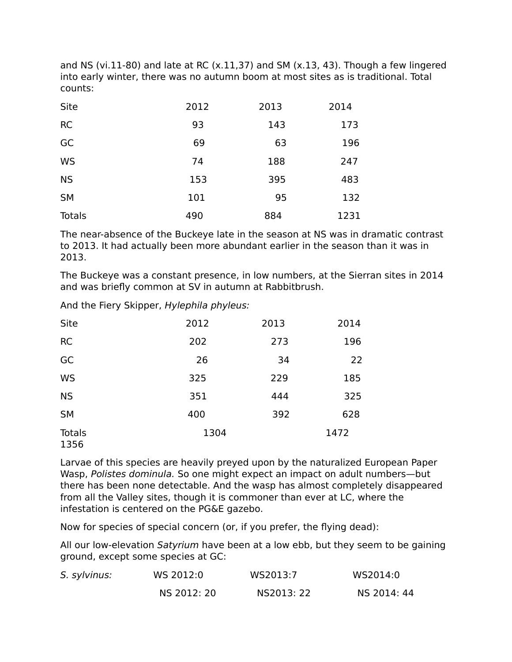and NS (vi.11-80) and late at RC (x.11,37) and SM (x.13, 43). Though a few lingered into early winter, there was no autumn boom at most sites as is traditional. Total counts:

| Site          | 2012 | 2013 | 2014 |
|---------------|------|------|------|
| <b>RC</b>     | 93   | 143  | 173  |
| GC            | 69   | 63   | 196  |
| <b>WS</b>     | 74   | 188  | 247  |
| <b>NS</b>     | 153  | 395  | 483  |
| <b>SM</b>     | 101  | 95   | 132  |
| <b>Totals</b> | 490  | 884  | 1231 |

The near-absence of the Buckeye late in the season at NS was in dramatic contrast to 2013. It had actually been more abundant earlier in the season than it was in 2013.

The Buckeye was a constant presence, in low numbers, at the Sierran sites in 2014 and was briefly common at SV in autumn at Rabbitbrush.

And the Fiery Skipper, Hylephila phyleus:

| <b>Site</b>           | 2012 | 2013 | 2014 |
|-----------------------|------|------|------|
| <b>RC</b>             | 202  | 273  | 196  |
| GC                    | 26   | 34   | 22   |
| <b>WS</b>             | 325  | 229  | 185  |
| <b>NS</b>             | 351  | 444  | 325  |
| <b>SM</b>             | 400  | 392  | 628  |
| <b>Totals</b><br>1356 | 1304 |      | 1472 |

Larvae of this species are heavily preyed upon by the naturalized European Paper Wasp, Polistes dominula. So one might expect an impact on adult numbers—but there has been none detectable. And the wasp has almost completely disappeared from all the Valley sites, though it is commoner than ever at LC, where the infestation is centered on the PG&E gazebo.

Now for species of special concern (or, if you prefer, the flying dead):

All our low-elevation Satyrium have been at a low ebb, but they seem to be gaining ground, except some species at GC:

| S. sylvinus: | WS 2012:0   | WS2013:7   | WS2014:0    |
|--------------|-------------|------------|-------------|
|              | NS 2012: 20 | NS2013: 22 | NS 2014: 44 |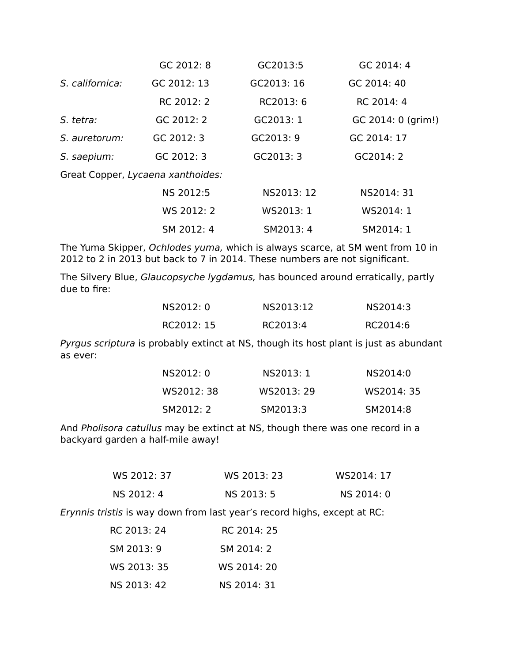|                 | GC 2012: 8                        | GC2013:5   | GC 2014: 4         |
|-----------------|-----------------------------------|------------|--------------------|
| S. californica: | GC 2012: 13                       | GC2013: 16 | GC 2014: 40        |
|                 | RC 2012: 2                        | RC2013: 6  | RC 2014: 4         |
| S. tetra:       | GC 2012: 2                        | GC2013: 1  | GC 2014: 0 (grim!) |
| S. auretorum:   | GC 2012: 3                        | GC2013: 9  | GC 2014: 17        |
| S. saepium:     | GC 2012: 3                        | GC2013: 3  | GC2014: 2          |
|                 | Great Copper, Lycaena xanthoides: |            |                    |
|                 | NS 2012:5                         | NS2013: 12 | NS2014: 31         |

| NS 2012:5  | NS2013: 12 | NS2014: 31 |
|------------|------------|------------|
| WS 2012: 2 | WS2013: 1  | WS2014: 1  |
| SM 2012: 4 | SM2013: 4  | SM2014: 1  |

The Yuma Skipper, Ochlodes yuma, which is always scarce, at SM went from 10 in 2012 to 2 in 2013 but back to 7 in 2014. These numbers are not significant.

The Silvery Blue, Glaucopsyche lygdamus, has bounced around erratically, partly due to fire:

| NS2012: 0  | NS2013:12 | NS2014:3 |
|------------|-----------|----------|
| RC2012: 15 | RC2013:4  | RC2014:6 |

Pyrgus scriptura is probably extinct at NS, though its host plant is just as abundant as ever:

| NS2012: 0  | NS2013: 1  | NS2014:0   |
|------------|------------|------------|
| WS2012: 38 | WS2013: 29 | WS2014: 35 |
| SM2012: 2  | SM2013:3   | SM2014:8   |

And Pholisora catullus may be extinct at NS, though there was one record in a backyard garden a half-mile away!

| WS 2012: 37 | WS 2013: 23 | WS2014: 17 |
|-------------|-------------|------------|
| NS 2012: 4  | NS 2013: 5  | NS 2014: 0 |

Erynnis tristis is way down from last year's record highs, except at RC:

| RC 2013: 24 | RC 2014: 25 |
|-------------|-------------|
| SM 2013: 9  | SM 2014: 2  |
| WS 2013: 35 | WS 2014: 20 |
| NS 2013: 42 | NS 2014: 31 |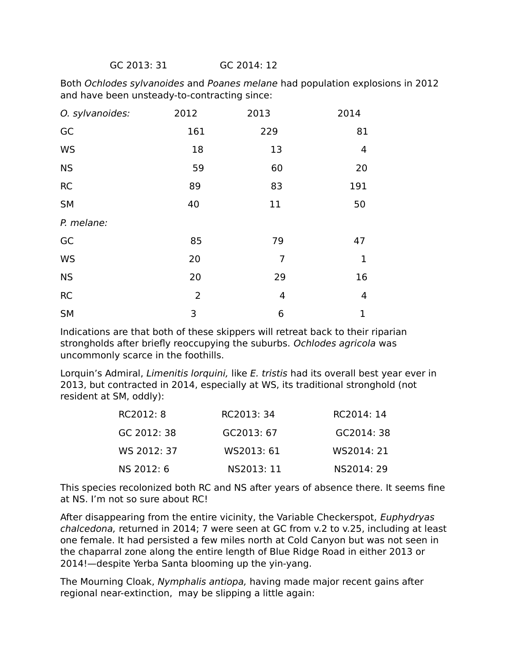GC 2013: 31 GC 2014: 12

Both Ochlodes sylvanoides and Poanes melane had population explosions in 2012 and have been unsteady-to-contracting since:

| O. sylvanoides: | 2012           | 2013 | 2014        |
|-----------------|----------------|------|-------------|
| GC              | 161            | 229  | 81          |
| <b>WS</b>       | 18             | 13   | 4           |
| <b>NS</b>       | 59             | 60   | 20          |
| <b>RC</b>       | 89             | 83   | 191         |
| <b>SM</b>       | 40             | 11   | 50          |
| P. melane:      |                |      |             |
| GC              | 85             | 79   | 47          |
| <b>WS</b>       | 20             | 7    | 1           |
| <b>NS</b>       | 20             | 29   | 16          |
| RC              | $\overline{2}$ | 4    | 4           |
| <b>SM</b>       | 3              | 6    | $\mathbf 1$ |

Indications are that both of these skippers will retreat back to their riparian strongholds after briefly reoccupying the suburbs. Ochlodes agricola was uncommonly scarce in the foothills.

Lorquin's Admiral, Limenitis lorquini, like E. tristis had its overall best year ever in 2013, but contracted in 2014, especially at WS, its traditional stronghold (not resident at SM, oddly):

| RC2012: 8   | RC2013: 34 | RC2014: 14 |
|-------------|------------|------------|
| GC 2012: 38 | GC2013: 67 | GC2014: 38 |
| WS 2012: 37 | WS2013: 61 | WS2014: 21 |
| NS 2012: 6  | NS2013: 11 | NS2014: 29 |

This species recolonized both RC and NS after years of absence there. It seems fine at NS. I'm not so sure about RC!

After disappearing from the entire vicinity, the Variable Checkerspot, Euphydryas chalcedona, returned in 2014; 7 were seen at GC from v.2 to v.25, including at least one female. It had persisted a few miles north at Cold Canyon but was not seen in the chaparral zone along the entire length of Blue Ridge Road in either 2013 or 2014!—despite Yerba Santa blooming up the yin-yang.

The Mourning Cloak, Nymphalis antiopa, having made major recent gains after regional near-extinction, may be slipping a little again: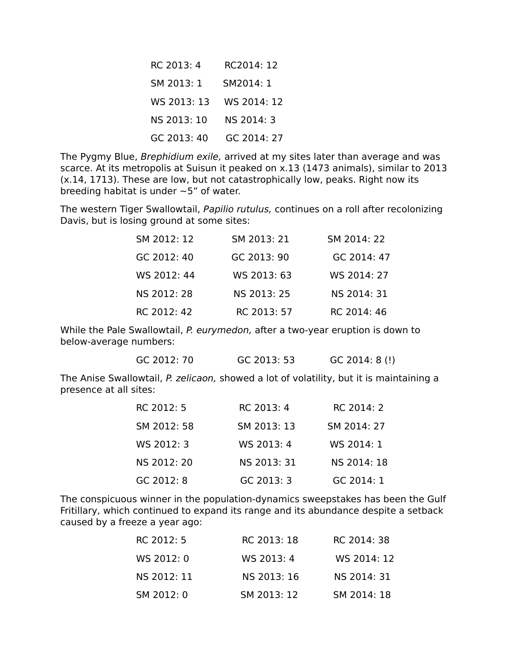| RC 2013: 4  | RC2014: 12  |
|-------------|-------------|
| SM 2013: 1  | SM2014: 1   |
|             |             |
| NS 2013: 10 | NS 2014: 3  |
| GC 2013: 40 | GC 2014: 27 |

The Pygmy Blue, Brephidium exile, arrived at my sites later than average and was scarce. At its metropolis at Suisun it peaked on x.13 (1473 animals), similar to 2013 (x.14, 1713). These are low, but not catastrophically low, peaks. Right now its breeding habitat is under  $\sim$  5" of water.

The western Tiger Swallowtail, Papilio rutulus, continues on a roll after recolonizing Davis, but is losing ground at some sites:

| SM 2012: 12 | SM 2013: 21 | SM 2014: 22 |
|-------------|-------------|-------------|
| GC 2012: 40 | GC 2013: 90 | GC 2014: 47 |
| WS 2012: 44 | WS 2013: 63 | WS 2014: 27 |
| NS 2012: 28 | NS 2013: 25 | NS 2014: 31 |
| RC 2012: 42 | RC 2013: 57 | RC 2014: 46 |

While the Pale Swallowtail, P. eurymedon, after a two-year eruption is down to below-average numbers:

GC 2012: 70 GC 2013: 53 GC 2014: 8 (!)

The Anise Swallowtail, P. zelicaon, showed a lot of volatility, but it is maintaining a presence at all sites:

| RC 2012: 5  | RC 2013: 4  | RC 2014: 2  |
|-------------|-------------|-------------|
| SM 2012: 58 | SM 2013: 13 | SM 2014: 27 |
| WS 2012: 3  | WS 2013: 4  | WS 2014: 1  |
| NS 2012: 20 | NS 2013: 31 | NS 2014: 18 |
| GC 2012: 8  | GC 2013: 3  | GC 2014: 1  |

The conspicuous winner in the population-dynamics sweepstakes has been the Gulf Fritillary, which continued to expand its range and its abundance despite a setback caused by a freeze a year ago:

| RC 2012: 5  | RC 2013: 18 | RC 2014: 38 |
|-------------|-------------|-------------|
| WS 2012: 0  | WS 2013: 4  | WS 2014: 12 |
| NS 2012: 11 | NS 2013: 16 | NS 2014: 31 |
| SM 2012: 0  | SM 2013: 12 | SM 2014: 18 |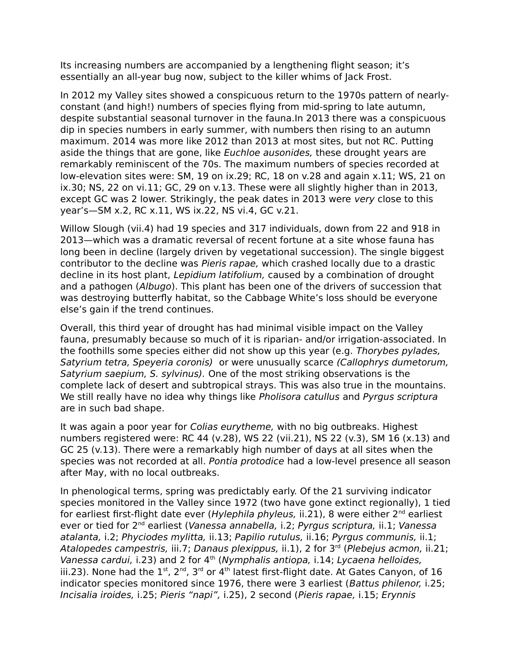Its increasing numbers are accompanied by a lengthening flight season; it's essentially an all-year bug now, subject to the killer whims of Jack Frost.

In 2012 my Valley sites showed a conspicuous return to the 1970s pattern of nearlyconstant (and high!) numbers of species flying from mid-spring to late autumn, despite substantial seasonal turnover in the fauna.In 2013 there was a conspicuous dip in species numbers in early summer, with numbers then rising to an autumn maximum. 2014 was more like 2012 than 2013 at most sites, but not RC. Putting aside the things that are gone, like *Euchloe ausonides*, these drought years are remarkably reminiscent of the 70s. The maximum numbers of species recorded at low-elevation sites were: SM, 19 on ix.29; RC, 18 on v.28 and again x.11; WS, 21 on ix.30; NS, 22 on vi.11; GC, 29 on v.13. These were all slightly higher than in 2013, except GC was 2 lower. Strikingly, the peak dates in 2013 were very close to this year's—SM x.2, RC x.11, WS ix.22, NS vi.4, GC v.21.

Willow Slough (vii.4) had 19 species and 317 individuals, down from 22 and 918 in 2013—which was a dramatic reversal of recent fortune at a site whose fauna has long been in decline (largely driven by vegetational succession). The single biggest contributor to the decline was Pieris rapae, which crashed locally due to a drastic decline in its host plant, Lepidium latifolium, caused by a combination of drought and a pathogen (Albugo). This plant has been one of the drivers of succession that was destroying butterfly habitat, so the Cabbage White's loss should be everyone else's gain if the trend continues.

Overall, this third year of drought has had minimal visible impact on the Valley fauna, presumably because so much of it is riparian- and/or irrigation-associated. In the foothills some species either did not show up this year (e.g. Thorybes pylades, Satyrium tetra, Speyeria coronis) or were unusually scarce (Callophrys dumetorum, Satyrium saepium, S. sylvinus). One of the most striking observations is the complete lack of desert and subtropical strays. This was also true in the mountains. We still really have no idea why things like Pholisora catullus and Pyrgus scriptura are in such bad shape.

It was again a poor year for Colias eurytheme, with no big outbreaks. Highest numbers registered were: RC 44 (v.28), WS 22 (vii.21), NS 22 (v.3), SM 16 (x.13) and GC 25 (v.13). There were a remarkably high number of days at all sites when the species was not recorded at all. Pontia protodice had a low-level presence all season after May, with no local outbreaks.

In phenological terms, spring was predictably early. Of the 21 surviving indicator species monitored in the Valley since 1972 (two have gone extinct regionally), 1 tied for earliest first-flight date ever (Hylephila phyleus, ii.21), 8 were either  $2^{nd}$  earliest ever or tied for 2<sup>nd</sup> earliest (Vanessa annabella, i.2; Pyrgus scriptura, ii.1; Vanessa atalanta, i.2; Phyciodes mylitta, ii.13; Papilio rutulus, ii.16; Pyrgus communis, ii.1; Atalopedes campestris, iii.7; Danaus plexippus, ii.1), 2 for  $3<sup>rd</sup>$  (Plebejus acmon, ii.21; Vanessa cardui, i.23) and 2 for  $4<sup>th</sup>$  (Nymphalis antiopa, i.14; Lycaena helloides, iii.23). None had the  $1^{st}$ ,  $2^{nd}$ ,  $3^{rd}$  or  $4^{th}$  latest first-flight date. At Gates Canyon, of 16 indicator species monitored since 1976, there were 3 earliest (Battus philenor, i.25; Incisalia iroides, i.25; Pieris "napi", i.25), 2 second (Pieris rapae, i.15; Erynnis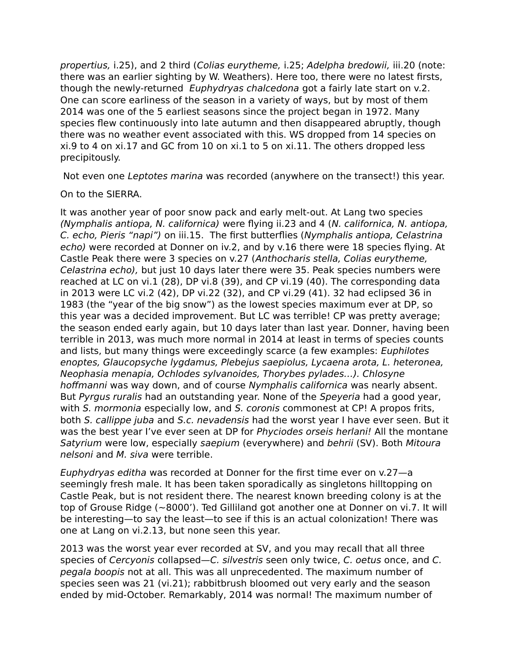propertius, i.25), and 2 third (Colias eurytheme, i.25; Adelpha bredowii, iii.20 (note: there was an earlier sighting by W. Weathers). Here too, there were no latest firsts, though the newly-returned Euphydryas chalcedona got a fairly late start on v.2. One can score earliness of the season in a variety of ways, but by most of them 2014 was one of the 5 earliest seasons since the project began in 1972. Many species flew continuously into late autumn and then disappeared abruptly, though there was no weather event associated with this. WS dropped from 14 species on xi.9 to 4 on xi.17 and GC from 10 on xi.1 to 5 on xi.11. The others dropped less precipitously.

Not even one Leptotes marina was recorded (anywhere on the transect!) this year.

## On to the SIERRA.

It was another year of poor snow pack and early melt-out. At Lang two species (Nymphalis antiopa, N. californica) were flying ii.23 and 4 (N. californica, N. antiopa, C. echo, Pieris "napi") on iii.15. The first butterflies (Nymphalis antiopa, Celastrina echo) were recorded at Donner on iv.2, and by v.16 there were 18 species flying. At Castle Peak there were 3 species on v.27 (Anthocharis stella, Colias eurytheme, Celastrina echo), but just 10 days later there were 35. Peak species numbers were reached at LC on vi.1 (28), DP vi.8 (39), and CP vi.19 (40). The corresponding data in 2013 were LC vi.2 (42), DP vi.22 (32), and CP vi.29 (41). 32 had eclipsed 36 in 1983 (the "year of the big snow") as the lowest species maximum ever at DP, so this year was a decided improvement. But LC was terrible! CP was pretty average; the season ended early again, but 10 days later than last year. Donner, having been terrible in 2013, was much more normal in 2014 at least in terms of species counts and lists, but many things were exceedingly scarce (a few examples: Euphilotes enoptes, Glaucopsyche lygdamus, Plebejus saepiolus, Lycaena arota, L. heteronea, Neophasia menapia, Ochlodes sylvanoides, Thorybes pylades…). Chlosyne hoffmanni was way down, and of course Nymphalis californica was nearly absent. But Pyrgus ruralis had an outstanding year. None of the Speyeria had a good year, with S. mormonia especially low, and S. coronis commonest at CP! A propos frits, both S. callippe juba and S.c. nevadensis had the worst year I have ever seen. But it was the best year I've ever seen at DP for *Phyciodes orseis herlani!* All the montane Satyrium were low, especially saepium (everywhere) and behrii (SV). Both Mitoura nelsoni and M. siva were terrible.

Euphydryas editha was recorded at Donner for the first time ever on v.27—a seemingly fresh male. It has been taken sporadically as singletons hilltopping on Castle Peak, but is not resident there. The nearest known breeding colony is at the top of Grouse Ridge (~8000'). Ted Gilliland got another one at Donner on vi.7. It will be interesting—to say the least—to see if this is an actual colonization! There was one at Lang on vi.2.13, but none seen this year.

2013 was the worst year ever recorded at SV, and you may recall that all three species of Cercyonis collapsed—C. silvestris seen only twice, C. oetus once, and C. pegala boopis not at all. This was all unprecedented. The maximum number of species seen was 21 (vi.21); rabbitbrush bloomed out very early and the season ended by mid-October. Remarkably, 2014 was normal! The maximum number of